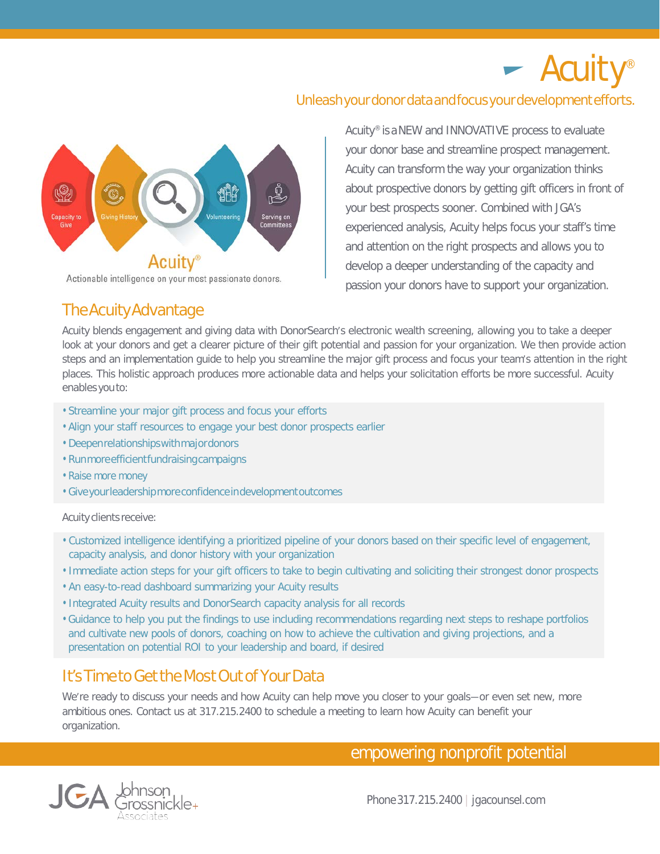# $\blacktriangleright$  Acuity®

## Unleash your donor data and focus your development efforts.



Actionable intelligence on your most passionate donors.

Acuity® is aNEW and INNOVATIVE process to evaluate your donor base and streamline prospect management. Acuity can transform the way your organization thinks about prospective donors by getting gift officers in front of your best prospects sooner. Combined with JGA's experienced analysis, Acuity helps focus your staff's time and attention on the right prospects and allows you to develop a deeper understanding of the capacity and passion your donors have to support your organization.

## TheAcuityAdvantage

Acuity blends engagement and giving data with DonorSearch's electronic wealth screening, allowing you to take a deeper look at your donors and get a clearer picture of their gift potential and passion for your organization. We then provide action steps and an implementation guide to help you streamline the major gift process and focus your team's attention in the right places. This holistic approach produces more actionable data and helps your solicitation efforts be more successful. Acuity enables you to:

- Streamline your major gift process and focus your efforts
- Align your staff resources to engage your best donor prospects earlier
- Deepenrelationshipswithmajordonors
- Runmoreefficientfundraisingcampaigns
- Raise more money
- Giveyourleadershipmoreconfidenceindevelopmentoutcomes

## Acuity clients receive:

- Customized intelligence identifying a prioritized pipeline of your donors based on their specific level of engagement, capacity analysis, and donor history with your organization
- Immediate action steps for your gift officers to take to begin cultivating and soliciting their strongest donor prospects
- An easy-to-read dashboard summarizing your Acuity results
- Integrated Acuity results and DonorSearch capacity analysis for all records
- Guidance to help you put the findings to use including recommendations regarding next steps to reshape portfolios and cultivate new pools of donors, coaching on how to achieve the cultivation and giving projections, and a presentation on potential ROI to your leadership and board, if desired

# It's Time to Get the Most Out of Your Data

We're ready to discuss your needs and how Acuity can help move you closer to your goals—or even set new, more ambitious ones. Contact us at 317.215.2400 to schedule a meeting to learn how Acuity can benefit your organization.

empowering nonprofit potential



Phone317.215.2400 | jgacounsel.com